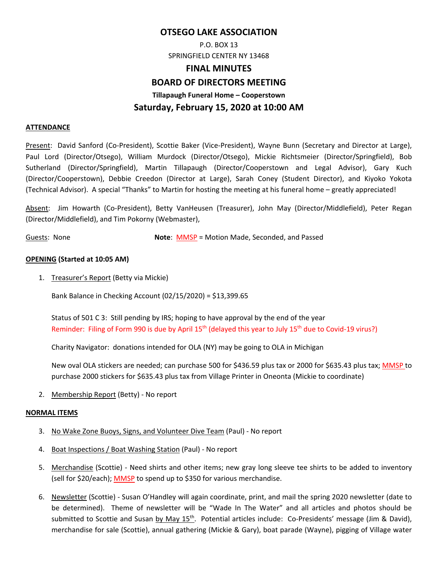# **OTSEGO LAKE ASSOCIATION**

P.O. BOX 13 SPRINGFIELD CENTER NY 13468

### **FINAL MINUTES**

## **BOARD OF DIRECTORS MEETING**

**Tillapaugh Funeral Home – Cooperstown** 

# **Saturday, February 15, 2020 at 10:00 AM**

#### **ATTENDANCE**

Present: David Sanford (Co‐President), Scottie Baker (Vice‐President), Wayne Bunn (Secretary and Director at Large), Paul Lord (Director/Otsego), William Murdock (Director/Otsego), Mickie Richtsmeier (Director/Springfield), Bob Sutherland (Director/Springfield), Martin Tillapaugh (Director/Cooperstown and Legal Advisor), Gary Kuch (Director/Cooperstown), Debbie Creedon (Director at Large), Sarah Coney (Student Director), and Kiyoko Yokota (Technical Advisor). A special "Thanks" to Martin for hosting the meeting at his funeral home – greatly appreciated!

Absent: Jim Howarth (Co‐President), Betty VanHeusen (Treasurer), John May (Director/Middlefield), Peter Regan (Director/Middlefield), and Tim Pokorny (Webmaster),

Guests: None **Note: MMSP** = Motion Made, Seconded, and Passed

### **OPENING (Started at 10:05 AM)**

1. Treasurer's Report (Betty via Mickie)

Bank Balance in Checking Account (02/15/2020) = \$13,399.65

Status of 501 C 3: Still pending by IRS; hoping to have approval by the end of the year Reminder: Filing of Form 990 is due by April 15<sup>th</sup> (delayed this year to July 15<sup>th</sup> due to Covid-19 virus?)

Charity Navigator: donations intended for OLA (NY) may be going to OLA in Michigan

New oval OLA stickers are needed; can purchase 500 for \$436.59 plus tax or 2000 for \$635.43 plus tax; MMSP to purchase 2000 stickers for \$635.43 plus tax from Village Printer in Oneonta (Mickie to coordinate)

2. Membership Report (Betty) ‐ No report

### **NORMAL ITEMS**

- 3. No Wake Zone Buoys, Signs, and Volunteer Dive Team (Paul) ‐ No report
- 4. Boat Inspections / Boat Washing Station (Paul) ‐ No report
- 5. Merchandise (Scottie) ‐ Need shirts and other items; new gray long sleeve tee shirts to be added to inventory (sell for \$20/each); MMSP to spend up to \$350 for various merchandise.
- 6. Newsletter (Scottie) ‐ Susan O'Handley will again coordinate, print, and mail the spring 2020 newsletter (date to be determined). Theme of newsletter will be "Wade In The Water" and all articles and photos should be submitted to Scottie and Susan by May 15<sup>th</sup>. Potential articles include: Co-Presidents' message (Jim & David), merchandise for sale (Scottie), annual gathering (Mickie & Gary), boat parade (Wayne), pigging of Village water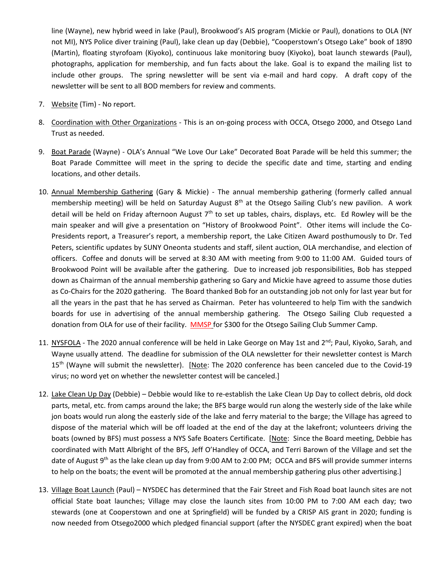line (Wayne), new hybrid weed in lake (Paul), Brookwood's AIS program (Mickie or Paul), donations to OLA (NY not MI), NYS Police diver training (Paul), lake clean up day (Debbie), "Cooperstown's Otsego Lake" book of 1890 (Martin), floating styrofoam (Kiyoko), continuous lake monitoring buoy (Kiyoko), boat launch stewards (Paul), photographs, application for membership, and fun facts about the lake. Goal is to expand the mailing list to include other groups. The spring newsletter will be sent via e-mail and hard copy. A draft copy of the newsletter will be sent to all BOD members for review and comments.

- 7. Website (Tim) No report.
- 8. Coordination with Other Organizations ‐ This is an on‐going process with OCCA, Otsego 2000, and Otsego Land Trust as needed.
- 9. Boat Parade (Wayne) ‐ OLA's Annual "We Love Our Lake" Decorated Boat Parade will be held this summer; the Boat Parade Committee will meet in the spring to decide the specific date and time, starting and ending locations, and other details.
- 10. Annual Membership Gathering (Gary & Mickie) ‐ The annual membership gathering (formerly called annual membership meeting) will be held on Saturday August  $8<sup>th</sup>$  at the Otsego Sailing Club's new pavilion. A work detail will be held on Friday afternoon August  $7<sup>th</sup>$  to set up tables, chairs, displays, etc. Ed Rowley will be the main speaker and will give a presentation on "History of Brookwood Point". Other items will include the Co‐ Presidents report, a Treasurer's report, a membership report, the Lake Citizen Award posthumously to Dr. Ted Peters, scientific updates by SUNY Oneonta students and staff, silent auction, OLA merchandise, and election of officers. Coffee and donuts will be served at 8:30 AM with meeting from 9:00 to 11:00 AM. Guided tours of Brookwood Point will be available after the gathering. Due to increased job responsibilities, Bob has stepped down as Chairman of the annual membership gathering so Gary and Mickie have agreed to assume those duties as Co-Chairs for the 2020 gathering. The Board thanked Bob for an outstanding job not only for last year but for all the years in the past that he has served as Chairman. Peter has volunteered to help Tim with the sandwich boards for use in advertising of the annual membership gathering. The Otsego Sailing Club requested a donation from OLA for use of their facility. MMSP for \$300 for the Otsego Sailing Club Summer Camp.
- 11. NYSFOLA The 2020 annual conference will be held in Lake George on May 1st and 2<sup>nd</sup>; Paul, Kiyoko, Sarah, and Wayne usually attend. The deadline for submission of the OLA newsletter for their newsletter contest is March 15<sup>th</sup> (Wayne will submit the newsletter). [Note: The 2020 conference has been canceled due to the Covid-19 virus; no word yet on whether the newsletter contest will be canceled.]
- 12. Lake Clean Up Day (Debbie) Debbie would like to re‐establish the Lake Clean Up Day to collect debris, old dock parts, metal, etc. from camps around the lake; the BFS barge would run along the westerly side of the lake while jon boats would run along the easterly side of the lake and ferry material to the barge; the Village has agreed to dispose of the material which will be off loaded at the end of the day at the lakefront; volunteers driving the boats (owned by BFS) must possess a NYS Safe Boaters Certificate. [Note: Since the Board meeting, Debbie has coordinated with Matt Albright of the BFS, Jeff O'Handley of OCCA, and Terri Barown of the Village and set the date of August 9<sup>th</sup> as the lake clean up day from 9:00 AM to 2:00 PM; OCCA and BFS will provide summer interns to help on the boats; the event will be promoted at the annual membership gathering plus other advertising.]
- 13. Village Boat Launch (Paul) NYSDEC has determined that the Fair Street and Fish Road boat launch sites are not official State boat launches; Village may close the launch sites from 10:00 PM to 7:00 AM each day; two stewards (one at Cooperstown and one at Springfield) will be funded by a CRISP AIS grant in 2020; funding is now needed from Otsego2000 which pledged financial support (after the NYSDEC grant expired) when the boat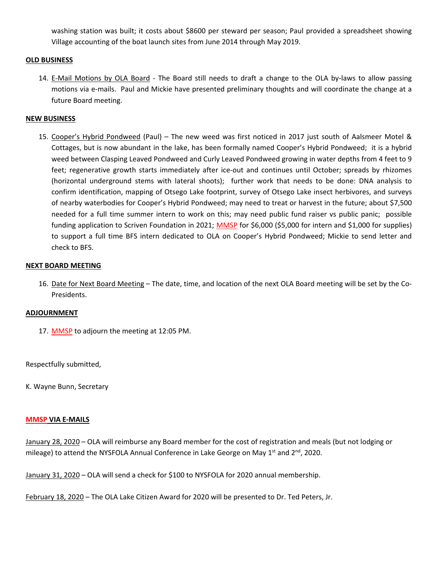washing station was built; it costs about \$8600 per steward per season; Paul provided a spreadsheet showing Village accounting of the boat launch sites from June 2014 through May 2019.

### **OLD BUSINESS**

14. E-Mail Motions by OLA Board - The Board still needs to draft a change to the OLA by-laws to allow passing motions via e‐mails. Paul and Mickie have presented preliminary thoughts and will coordinate the change at a future Board meeting.

#### **NEW BUSINESS**

15. Cooper's Hybrid Pondweed (Paul) – The new weed was first noticed in 2017 just south of Aalsmeer Motel & Cottages, but is now abundant in the lake, has been formally named Cooper's Hybrid Pondweed; it is a hybrid weed between Clasping Leaved Pondweed and Curly Leaved Pondweed growing in water depths from 4 feet to 9 feet; regenerative growth starts immediately after ice-out and continues until October; spreads by rhizomes (horizontal underground stems with lateral shoots); further work that needs to be done: DNA analysis to confirm identification, mapping of Otsego Lake footprint, survey of Otsego Lake insect herbivores, and surveys of nearby waterbodies for Cooper's Hybrid Pondweed; may need to treat or harvest in the future; about \$7,500 needed for a full time summer intern to work on this; may need public fund raiser vs public panic; possible funding application to Scriven Foundation in 2021; MMSP for \$6,000 (\$5,000 for intern and \$1,000 for supplies) to support a full time BFS intern dedicated to OLA on Cooper's Hybrid Pondweed; Mickie to send letter and check to BFS.

#### **NEXT BOARD MEETING**

16. Date for Next Board Meeting – The date, time, and location of the next OLA Board meeting will be set by the Co‐ Presidents.

#### **ADJOURNMENT**

17. MMSP to adjourn the meeting at 12:05 PM.

Respectfully submitted,

K. Wayne Bunn, Secretary

#### **MMSP VIA E‐MAILS**

January 28, 2020 – OLA will reimburse any Board member for the cost of registration and meals (but not lodging or mileage) to attend the NYSFOLA Annual Conference in Lake George on May 1<sup>st</sup> and 2<sup>nd</sup>, 2020.

January 31, 2020 – OLA will send a check for \$100 to NYSFOLA for 2020 annual membership.

February 18, 2020 – The OLA Lake Citizen Award for 2020 will be presented to Dr. Ted Peters, Jr.